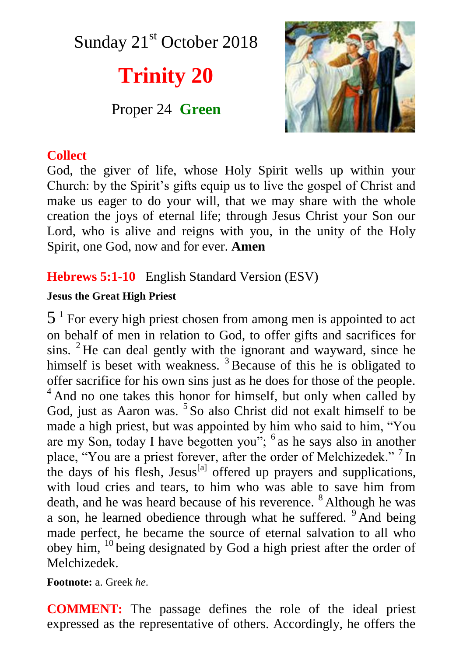Sunday  $21<sup>st</sup>$  October 2018

# **Trinity 20**

Proper 24 **Green**



## **Collect**

God, the giver of life, whose Holy Spirit wells up within your Church: by the Spirit's gifts equip us to live the gospel of Christ and make us eager to do your will, that we may share with the whole creation the joys of eternal life; through Jesus Christ your Son our Lord, who is alive and reigns with you, in the unity of the Holy Spirit, one God, now and for ever. **Amen**

# **Hebrews 5:1-10** English Standard Version (ESV)

## **Jesus the Great High Priest**

 $5<sup>1</sup>$  For every high priest chosen from among men is appointed to act on behalf of men in relation to God, to offer gifts and sacrifices for sins.  ${}^{2}$  He can deal gently with the ignorant and wayward, since he himself is beset with weakness.<sup>3</sup> Because of this he is obligated to offer sacrifice for his own sins just as he does for those of the people. <sup>4</sup> And no one takes this honor for himself, but only when called by God, just as Aaron was. <sup>5</sup> So also Christ did not exalt himself to be made a high priest, but was appointed by him who said to him, "You are my Son, today I have begotten you"; <sup>6</sup> as he says also in another place, "You are a priest forever, after the order of Melchizedek." <sup>7</sup> In the days of his flesh, Jesus<sup>[a]</sup> offered up prayers and supplications, with loud cries and tears, to him who was able to save him from death, and he was heard because of his reverence. <sup>8</sup> Although he was a son, he learned obedience through what he suffered. <sup>9</sup> And being made perfect, he became the source of eternal salvation to all who obey him, <sup>10</sup> being designated by God a high priest after the order of Melchizedek.

**Footnote:** a. Greek *he*.

**COMMENT:** The passage defines the role of the ideal priest expressed as the representative of others. Accordingly, he offers the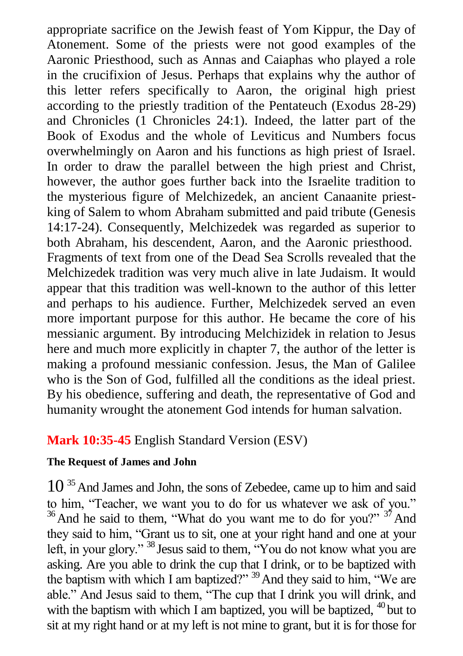appropriate sacrifice on the Jewish feast of Yom Kippur, the Day of Atonement. Some of the priests were not good examples of the Aaronic Priesthood, such as Annas and Caiaphas who played a role in the crucifixion of Jesus. Perhaps that explains why the author of this letter refers specifically to Aaron, the original high priest according to the priestly tradition of the Pentateuch (Exodus 28-29) and Chronicles (1 Chronicles 24:1). Indeed, the latter part of the Book of Exodus and the whole of Leviticus and Numbers focus overwhelmingly on Aaron and his functions as high priest of Israel. In order to draw the parallel between the high priest and Christ, however, the author goes further back into the Israelite tradition to the mysterious figure of Melchizedek, an ancient Canaanite priestking of Salem to whom Abraham submitted and paid tribute (Genesis 14:17-24). Consequently, Melchizedek was regarded as superior to both Abraham, his descendent, Aaron, and the Aaronic priesthood. Fragments of text from one of the Dead Sea Scrolls revealed that the Melchizedek tradition was very much alive in late Judaism. It would appear that this tradition was well-known to the author of this letter and perhaps to his audience. Further, Melchizedek served an even more important purpose for this author. He became the core of his messianic argument. By introducing Melchizidek in relation to Jesus here and much more explicitly in chapter 7, the author of the letter is making a profound messianic confession. Jesus, the Man of Galilee who is the Son of God, fulfilled all the conditions as the ideal priest. By his obedience, suffering and death, the representative of God and humanity wrought the atonement God intends for human salvation.

## **Mark 10:35-45** English Standard Version (ESV)

#### **The Request of James and John**

10<sup>35</sup> And James and John, the sons of Zebedee, came up to him and said to him, "Teacher, we want you to do for us whatever we ask of you."  $36$  And he said to them, "What do you want me to do for you?"  $37$  And they said to him, "Grant us to sit, one at your right hand and one at your left, in your glory." <sup>38</sup> Jesus said to them, "You do not know what you are asking. Are you able to drink the cup that I drink, or to be baptized with the baptism with which I am baptized?" <sup>39</sup> And they said to him, "We are able." And Jesus said to them, "The cup that I drink you will drink, and with the baptism with which I am baptized, you will be baptized,  $40$  but to sit at my right hand or at my left is not mine to grant, but it is for those for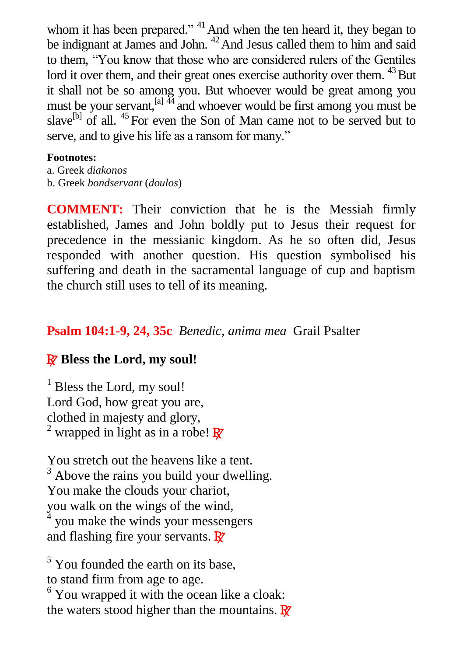whom it has been prepared."  $41$  And when the ten heard it, they began to be indignant at James and John. <sup>42</sup> And Jesus called them to him and said to them, "You know that those who are considered rulers of the Gentiles lord it over them, and their great ones exercise authority over them.  $^{43}$  But it shall not be so among you. But whoever would be great among you must be your servant,  $\left[a\right]$ <sup>44</sup> and whoever would be first among you must be slave<sup>[b]</sup> of all.  $45$  For even the Son of Man came not to be served but to serve, and to give his life as a ransom for many."

#### **Footnotes:**

a. Greek *diakonos* b. Greek *bondservant* (*doulos*)

**COMMENT:** Their conviction that he is the Messiah firmly established, James and John boldly put to Jesus their request for precedence in the messianic kingdom. As he so often did, Jesus responded with another question. His question symbolised his suffering and death in the sacramental language of cup and baptism the church still uses to tell of its meaning.

## **Psalm 104:1-9, 24, 35c** *Benedic, anima mea* Grail Psalter

# R **Bless the Lord, my soul!**

 $<sup>1</sup>$  Bless the Lord, my soul!</sup> Lord God, how great you are, clothed in majesty and glory, <sup>2</sup> wrapped in light as in a robe!  $\mathbb{R}^7$ 

You stretch out the heavens like a tent.  $3$  Above the rains you build your dwelling. You make the clouds your chariot, you walk on the wings of the wind, 4 you make the winds your messengers and flashing fire your servants.  $\mathbf{\mathbb{R}}$ 

 $<sup>5</sup>$  You founded the earth on its base,</sup> to stand firm from age to age. <sup>6</sup> You wrapped it with the ocean like a cloak: the waters stood higher than the mountains.  $\mathbf{R}^{\prime}$